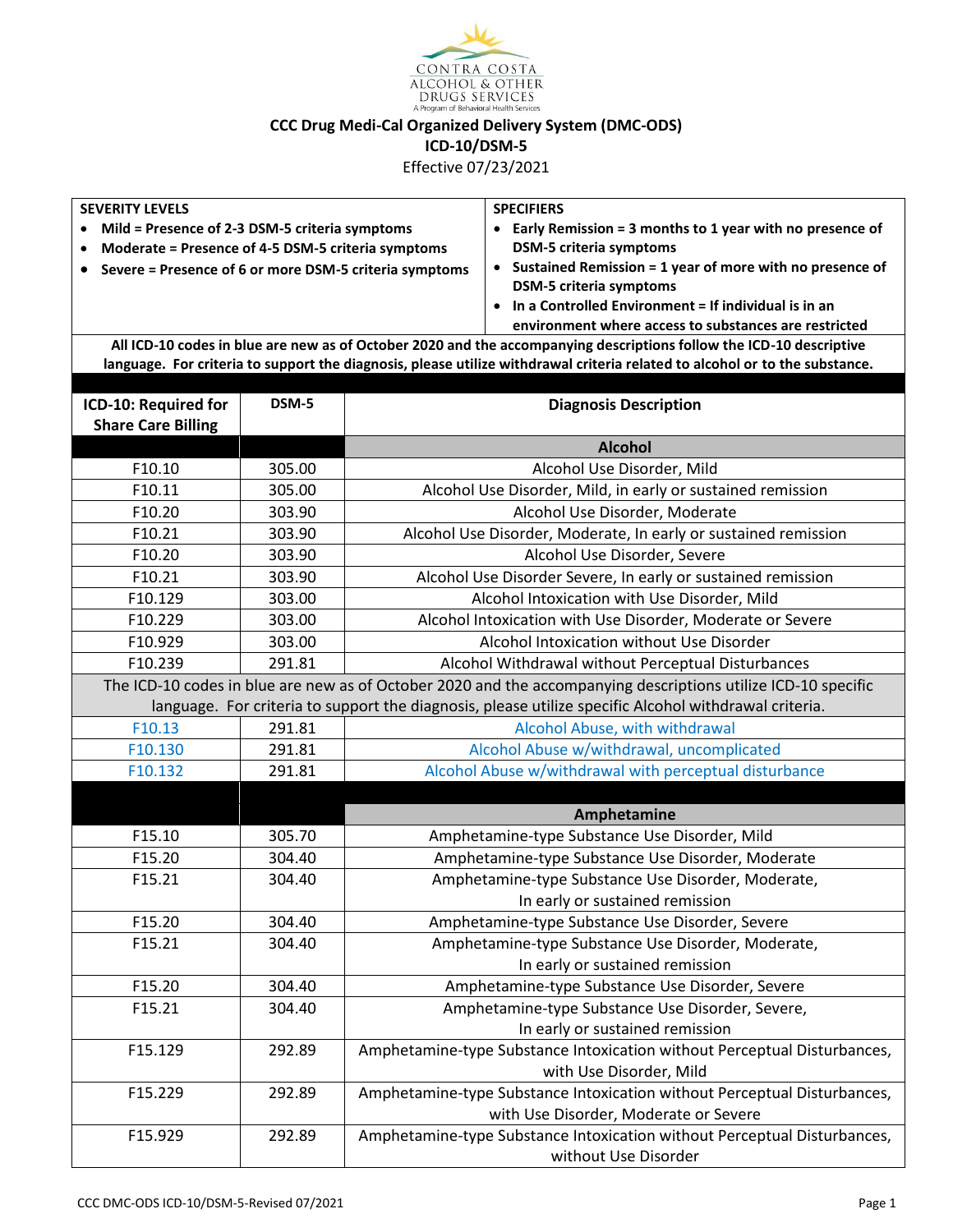

**CCC Drug Medi-Cal Organized Delivery System (DMC-ODS)**

**ICD-10/DSM-5**

Effective 07/23/2021

| <b>SEVERITY LEVELS</b>                                                                                                      |        |                                                                                                       | <b>SPECIFIERS</b>                                                        |  |  |  |
|-----------------------------------------------------------------------------------------------------------------------------|--------|-------------------------------------------------------------------------------------------------------|--------------------------------------------------------------------------|--|--|--|
| Mild = Presence of 2-3 DSM-5 criteria symptoms<br>$\bullet$                                                                 |        |                                                                                                       | • Early Remission = 3 months to 1 year with no presence of               |  |  |  |
| Moderate = Presence of 4-5 DSM-5 criteria symptoms                                                                          |        |                                                                                                       | <b>DSM-5 criteria symptoms</b>                                           |  |  |  |
| Severe = Presence of 6 or more DSM-5 criteria symptoms                                                                      |        |                                                                                                       | • Sustained Remission = 1 year of more with no presence of               |  |  |  |
|                                                                                                                             |        |                                                                                                       | <b>DSM-5 criteria symptoms</b>                                           |  |  |  |
|                                                                                                                             |        |                                                                                                       | • In a Controlled Environment = If individual is in an                   |  |  |  |
|                                                                                                                             |        |                                                                                                       | environment where access to substances are restricted                    |  |  |  |
| All ICD-10 codes in blue are new as of October 2020 and the accompanying descriptions follow the ICD-10 descriptive         |        |                                                                                                       |                                                                          |  |  |  |
| language. For criteria to support the diagnosis, please utilize withdrawal criteria related to alcohol or to the substance. |        |                                                                                                       |                                                                          |  |  |  |
| ICD-10: Required for                                                                                                        | DSM-5  | <b>Diagnosis Description</b>                                                                          |                                                                          |  |  |  |
| <b>Share Care Billing</b>                                                                                                   |        |                                                                                                       |                                                                          |  |  |  |
|                                                                                                                             |        |                                                                                                       | <b>Alcohol</b>                                                           |  |  |  |
| F10.10                                                                                                                      | 305.00 |                                                                                                       | Alcohol Use Disorder, Mild                                               |  |  |  |
| F10.11                                                                                                                      | 305.00 |                                                                                                       |                                                                          |  |  |  |
| F10.20                                                                                                                      | 303.90 | Alcohol Use Disorder, Mild, in early or sustained remission                                           |                                                                          |  |  |  |
| F10.21                                                                                                                      | 303.90 | Alcohol Use Disorder, Moderate                                                                        |                                                                          |  |  |  |
| F10.20                                                                                                                      | 303.90 | Alcohol Use Disorder, Moderate, In early or sustained remission                                       |                                                                          |  |  |  |
| F10.21                                                                                                                      | 303.90 | Alcohol Use Disorder, Severe                                                                          |                                                                          |  |  |  |
| F10.129                                                                                                                     |        | Alcohol Use Disorder Severe, In early or sustained remission                                          |                                                                          |  |  |  |
|                                                                                                                             | 303.00 | Alcohol Intoxication with Use Disorder, Mild                                                          |                                                                          |  |  |  |
| F10.229                                                                                                                     | 303.00 | Alcohol Intoxication with Use Disorder, Moderate or Severe                                            |                                                                          |  |  |  |
| F10.929                                                                                                                     | 303.00 | Alcohol Intoxication without Use Disorder                                                             |                                                                          |  |  |  |
| F10.239                                                                                                                     | 291.81 | Alcohol Withdrawal without Perceptual Disturbances                                                    |                                                                          |  |  |  |
| The ICD-10 codes in blue are new as of October 2020 and the accompanying descriptions utilize ICD-10 specific               |        |                                                                                                       |                                                                          |  |  |  |
|                                                                                                                             |        | language. For criteria to support the diagnosis, please utilize specific Alcohol withdrawal criteria. |                                                                          |  |  |  |
| F10.13                                                                                                                      | 291.81 | Alcohol Abuse, with withdrawal                                                                        |                                                                          |  |  |  |
| F10.130                                                                                                                     | 291.81 | Alcohol Abuse w/withdrawal, uncomplicated                                                             |                                                                          |  |  |  |
| F10.132                                                                                                                     | 291.81 |                                                                                                       | Alcohol Abuse w/withdrawal with perceptual disturbance                   |  |  |  |
|                                                                                                                             |        |                                                                                                       |                                                                          |  |  |  |
|                                                                                                                             |        |                                                                                                       | Amphetamine                                                              |  |  |  |
| F15.10                                                                                                                      | 305.70 |                                                                                                       | Amphetamine-type Substance Use Disorder, Mild                            |  |  |  |
| F15.20                                                                                                                      | 304.40 |                                                                                                       | Amphetamine-type Substance Use Disorder, Moderate                        |  |  |  |
| F15.21                                                                                                                      | 304.40 |                                                                                                       | Amphetamine-type Substance Use Disorder, Moderate,                       |  |  |  |
|                                                                                                                             |        |                                                                                                       | In early or sustained remission                                          |  |  |  |
| F15.20                                                                                                                      | 304.40 |                                                                                                       | Amphetamine-type Substance Use Disorder, Severe                          |  |  |  |
| F15.21                                                                                                                      | 304.40 |                                                                                                       | Amphetamine-type Substance Use Disorder, Moderate,                       |  |  |  |
|                                                                                                                             |        |                                                                                                       | In early or sustained remission                                          |  |  |  |
| F15.20                                                                                                                      | 304.40 |                                                                                                       | Amphetamine-type Substance Use Disorder, Severe                          |  |  |  |
| F15.21                                                                                                                      | 304.40 |                                                                                                       | Amphetamine-type Substance Use Disorder, Severe,                         |  |  |  |
|                                                                                                                             |        |                                                                                                       | In early or sustained remission                                          |  |  |  |
| F15.129                                                                                                                     | 292.89 |                                                                                                       | Amphetamine-type Substance Intoxication without Perceptual Disturbances, |  |  |  |
|                                                                                                                             |        |                                                                                                       | with Use Disorder, Mild                                                  |  |  |  |
| F15.229                                                                                                                     | 292.89 |                                                                                                       | Amphetamine-type Substance Intoxication without Perceptual Disturbances, |  |  |  |
|                                                                                                                             |        |                                                                                                       | with Use Disorder, Moderate or Severe                                    |  |  |  |
| F15.929                                                                                                                     | 292.89 |                                                                                                       | Amphetamine-type Substance Intoxication without Perceptual Disturbances, |  |  |  |
|                                                                                                                             |        |                                                                                                       | without Use Disorder                                                     |  |  |  |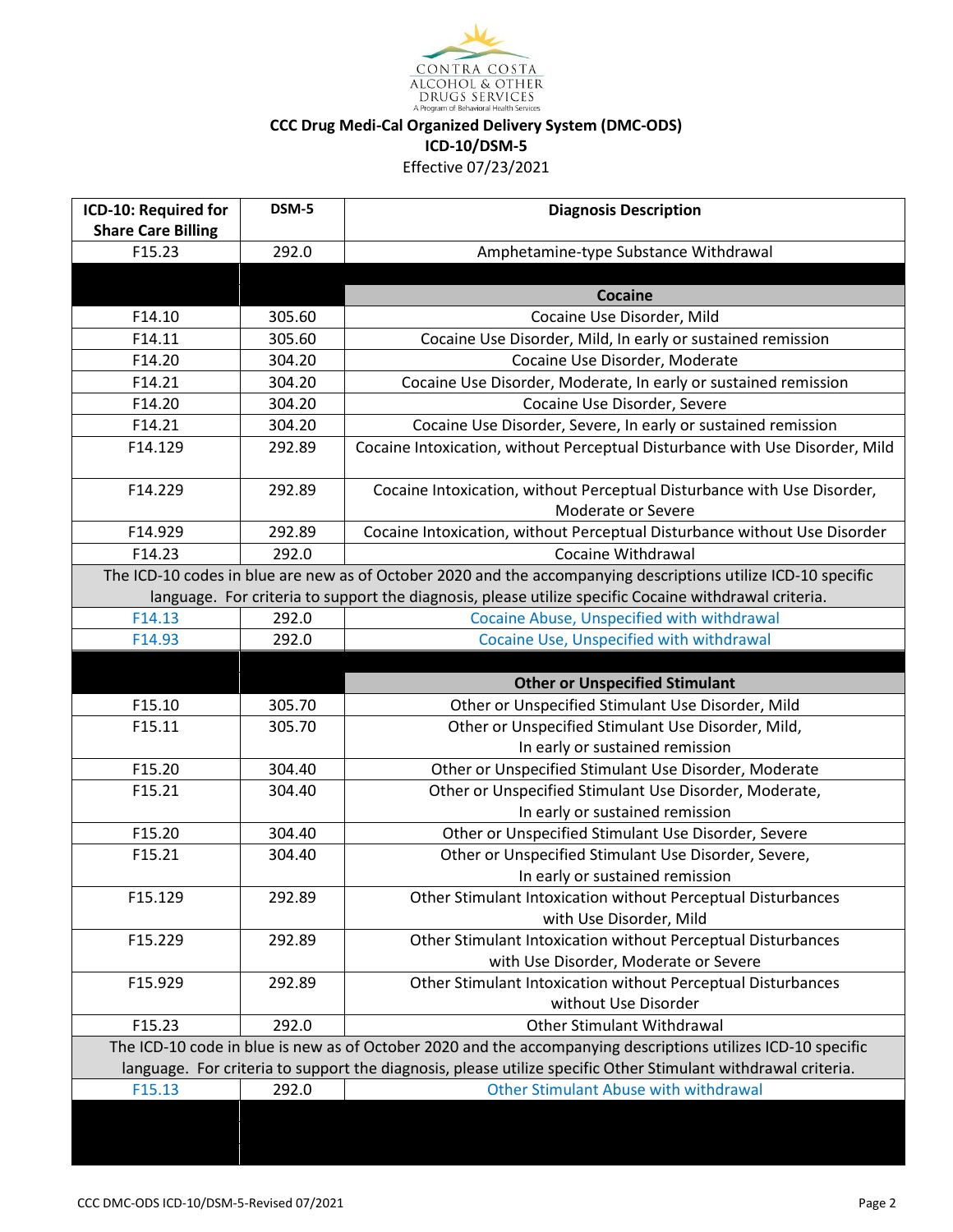

| ICD-10: Required for                | DSM-5  | <b>Diagnosis Description</b>                                                                                  |  |
|-------------------------------------|--------|---------------------------------------------------------------------------------------------------------------|--|
| <b>Share Care Billing</b><br>F15.23 | 292.0  |                                                                                                               |  |
|                                     |        | Amphetamine-type Substance Withdrawal                                                                         |  |
|                                     |        | Cocaine                                                                                                       |  |
| F14.10                              | 305.60 | Cocaine Use Disorder, Mild                                                                                    |  |
| F14.11                              | 305.60 | Cocaine Use Disorder, Mild, In early or sustained remission                                                   |  |
| F14.20                              | 304.20 | Cocaine Use Disorder, Moderate                                                                                |  |
| F14.21                              | 304.20 | Cocaine Use Disorder, Moderate, In early or sustained remission                                               |  |
| F14.20                              | 304.20 | Cocaine Use Disorder, Severe                                                                                  |  |
| F14.21                              | 304.20 | Cocaine Use Disorder, Severe, In early or sustained remission                                                 |  |
| F14.129                             | 292.89 | Cocaine Intoxication, without Perceptual Disturbance with Use Disorder, Mild                                  |  |
|                                     |        |                                                                                                               |  |
| F14.229                             | 292.89 | Cocaine Intoxication, without Perceptual Disturbance with Use Disorder,                                       |  |
|                                     |        | Moderate or Severe                                                                                            |  |
| F14.929                             | 292.89 | Cocaine Intoxication, without Perceptual Disturbance without Use Disorder                                     |  |
| F14.23                              | 292.0  | Cocaine Withdrawal                                                                                            |  |
|                                     |        | The ICD-10 codes in blue are new as of October 2020 and the accompanying descriptions utilize ICD-10 specific |  |
|                                     |        | language. For criteria to support the diagnosis, please utilize specific Cocaine withdrawal criteria.         |  |
| F14.13                              | 292.0  | Cocaine Abuse, Unspecified with withdrawal                                                                    |  |
| F14.93                              | 292.0  | Cocaine Use, Unspecified with withdrawal                                                                      |  |
|                                     |        |                                                                                                               |  |
|                                     |        |                                                                                                               |  |
| F15.10                              | 305.70 | <b>Other or Unspecified Stimulant</b>                                                                         |  |
| F15.11                              | 305.70 | Other or Unspecified Stimulant Use Disorder, Mild<br>Other or Unspecified Stimulant Use Disorder, Mild,       |  |
|                                     |        | In early or sustained remission                                                                               |  |
| F15.20                              | 304.40 | Other or Unspecified Stimulant Use Disorder, Moderate                                                         |  |
| F15.21                              | 304.40 | Other or Unspecified Stimulant Use Disorder, Moderate,                                                        |  |
|                                     |        | In early or sustained remission                                                                               |  |
| F15.20                              | 304.40 | Other or Unspecified Stimulant Use Disorder, Severe                                                           |  |
| F15.21                              | 304.40 | Other or Unspecified Stimulant Use Disorder, Severe,                                                          |  |
|                                     |        | In early or sustained remission                                                                               |  |
| F15.129                             | 292.89 | Other Stimulant Intoxication without Perceptual Disturbances                                                  |  |
|                                     |        | with Use Disorder, Mild                                                                                       |  |
| F15.229                             | 292.89 | Other Stimulant Intoxication without Perceptual Disturbances                                                  |  |
|                                     |        | with Use Disorder, Moderate or Severe                                                                         |  |
| F15.929                             | 292.89 | Other Stimulant Intoxication without Perceptual Disturbances                                                  |  |
|                                     |        | without Use Disorder                                                                                          |  |
| F15.23                              | 292.0  | <b>Other Stimulant Withdrawal</b>                                                                             |  |
|                                     |        | The ICD-10 code in blue is new as of October 2020 and the accompanying descriptions utilizes ICD-10 specific  |  |
|                                     |        | language. For criteria to support the diagnosis, please utilize specific Other Stimulant withdrawal criteria. |  |
| F15.13                              | 292.0  | <b>Other Stimulant Abuse with withdrawal</b>                                                                  |  |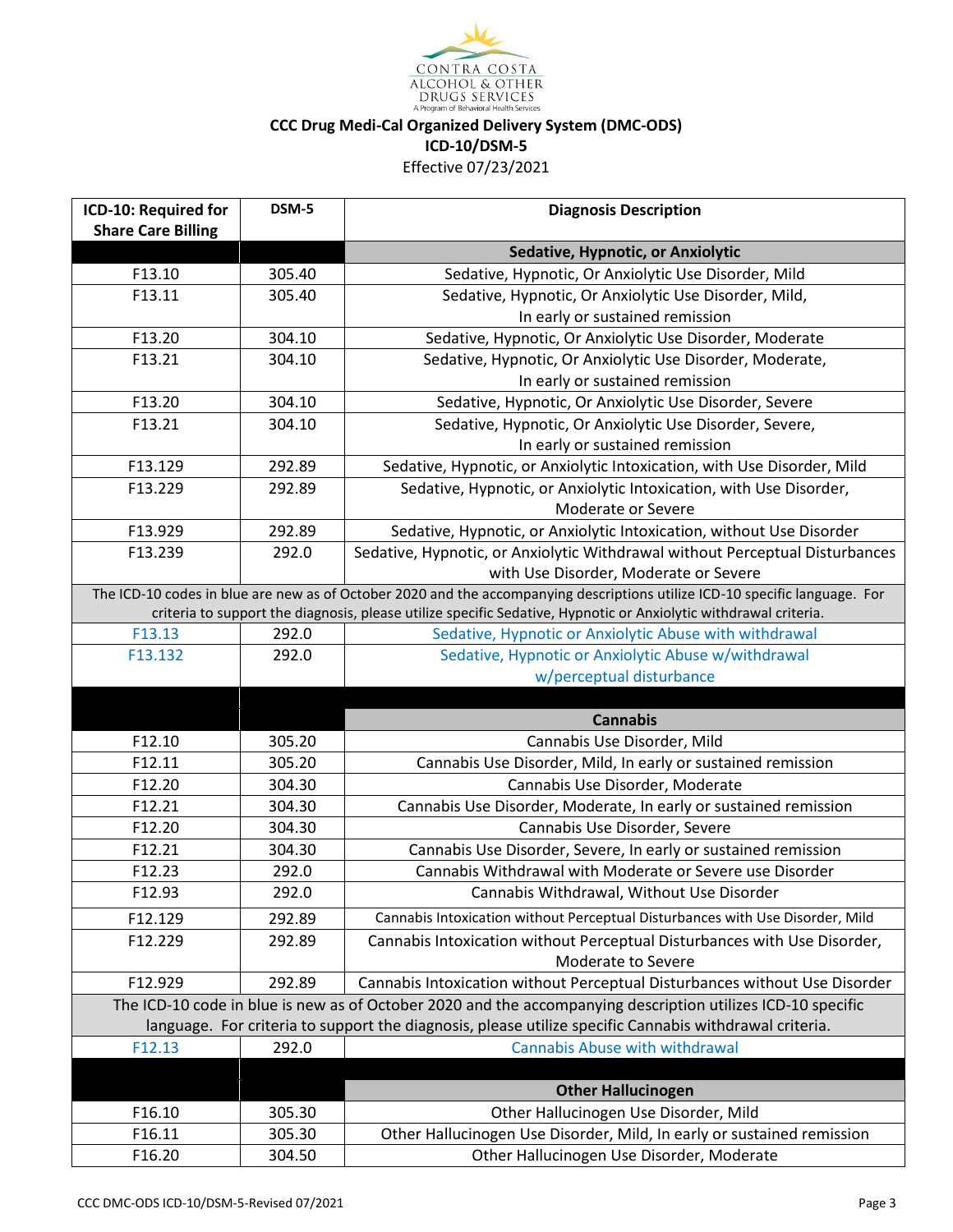

| ICD-10: Required for                                                                                                        | DSM-5            | <b>Diagnosis Description</b>                                                                                     |
|-----------------------------------------------------------------------------------------------------------------------------|------------------|------------------------------------------------------------------------------------------------------------------|
| <b>Share Care Billing</b>                                                                                                   |                  | Sedative, Hypnotic, or Anxiolytic                                                                                |
| F13.10                                                                                                                      | 305.40           | Sedative, Hypnotic, Or Anxiolytic Use Disorder, Mild                                                             |
| F13.11                                                                                                                      | 305.40           | Sedative, Hypnotic, Or Anxiolytic Use Disorder, Mild,                                                            |
|                                                                                                                             |                  | In early or sustained remission                                                                                  |
| F13.20                                                                                                                      | 304.10           | Sedative, Hypnotic, Or Anxiolytic Use Disorder, Moderate                                                         |
| F13.21                                                                                                                      | 304.10           | Sedative, Hypnotic, Or Anxiolytic Use Disorder, Moderate,                                                        |
|                                                                                                                             |                  | In early or sustained remission                                                                                  |
| F13.20                                                                                                                      | 304.10           | Sedative, Hypnotic, Or Anxiolytic Use Disorder, Severe                                                           |
| F13.21                                                                                                                      | 304.10           | Sedative, Hypnotic, Or Anxiolytic Use Disorder, Severe,                                                          |
|                                                                                                                             |                  | In early or sustained remission                                                                                  |
| F13.129                                                                                                                     | 292.89           | Sedative, Hypnotic, or Anxiolytic Intoxication, with Use Disorder, Mild                                          |
| F13.229                                                                                                                     | 292.89           | Sedative, Hypnotic, or Anxiolytic Intoxication, with Use Disorder,                                               |
|                                                                                                                             |                  | Moderate or Severe                                                                                               |
| F13.929                                                                                                                     | 292.89           | Sedative, Hypnotic, or Anxiolytic Intoxication, without Use Disorder                                             |
| F13.239                                                                                                                     | 292.0            | Sedative, Hypnotic, or Anxiolytic Withdrawal without Perceptual Disturbances                                     |
|                                                                                                                             |                  | with Use Disorder, Moderate or Severe                                                                            |
| The ICD-10 codes in blue are new as of October 2020 and the accompanying descriptions utilize ICD-10 specific language. For |                  |                                                                                                                  |
|                                                                                                                             |                  | criteria to support the diagnosis, please utilize specific Sedative, Hypnotic or Anxiolytic withdrawal criteria. |
| F13.13                                                                                                                      | 292.0            | Sedative, Hypnotic or Anxiolytic Abuse with withdrawal                                                           |
| F13.132                                                                                                                     | 292.0            | Sedative, Hypnotic or Anxiolytic Abuse w/withdrawal                                                              |
|                                                                                                                             |                  | w/perceptual disturbance                                                                                         |
|                                                                                                                             |                  |                                                                                                                  |
|                                                                                                                             |                  |                                                                                                                  |
|                                                                                                                             |                  | <b>Cannabis</b>                                                                                                  |
| F12.10                                                                                                                      | 305.20           | Cannabis Use Disorder, Mild                                                                                      |
| F12.11                                                                                                                      | 305.20           | Cannabis Use Disorder, Mild, In early or sustained remission                                                     |
| F12.20                                                                                                                      | 304.30           | Cannabis Use Disorder, Moderate                                                                                  |
| F12.21                                                                                                                      | 304.30           | Cannabis Use Disorder, Moderate, In early or sustained remission                                                 |
| F12.20                                                                                                                      | 304.30           | Cannabis Use Disorder, Severe                                                                                    |
| F12.21                                                                                                                      | 304.30           | Cannabis Use Disorder, Severe, In early or sustained remission                                                   |
| F12.23                                                                                                                      | 292.0            | Cannabis Withdrawal with Moderate or Severe use Disorder                                                         |
| F12.93                                                                                                                      | 292.0            | Cannabis Withdrawal, Without Use Disorder                                                                        |
| F12.129                                                                                                                     | 292.89           | Cannabis Intoxication without Perceptual Disturbances with Use Disorder, Mild                                    |
| F12.229                                                                                                                     | 292.89           | Cannabis Intoxication without Perceptual Disturbances with Use Disorder,                                         |
|                                                                                                                             |                  | Moderate to Severe                                                                                               |
| F12.929                                                                                                                     | 292.89           | Cannabis Intoxication without Perceptual Disturbances without Use Disorder                                       |
|                                                                                                                             |                  | The ICD-10 code in blue is new as of October 2020 and the accompanying description utilizes ICD-10 specific      |
|                                                                                                                             |                  | language. For criteria to support the diagnosis, please utilize specific Cannabis withdrawal criteria.           |
| F12.13                                                                                                                      | 292.0            | <b>Cannabis Abuse with withdrawal</b>                                                                            |
|                                                                                                                             |                  |                                                                                                                  |
|                                                                                                                             |                  | <b>Other Hallucinogen</b>                                                                                        |
| F16.10<br>F16.11                                                                                                            | 305.30<br>305.30 | Other Hallucinogen Use Disorder, Mild<br>Other Hallucinogen Use Disorder, Mild, In early or sustained remission  |

 $\mathsf{I}$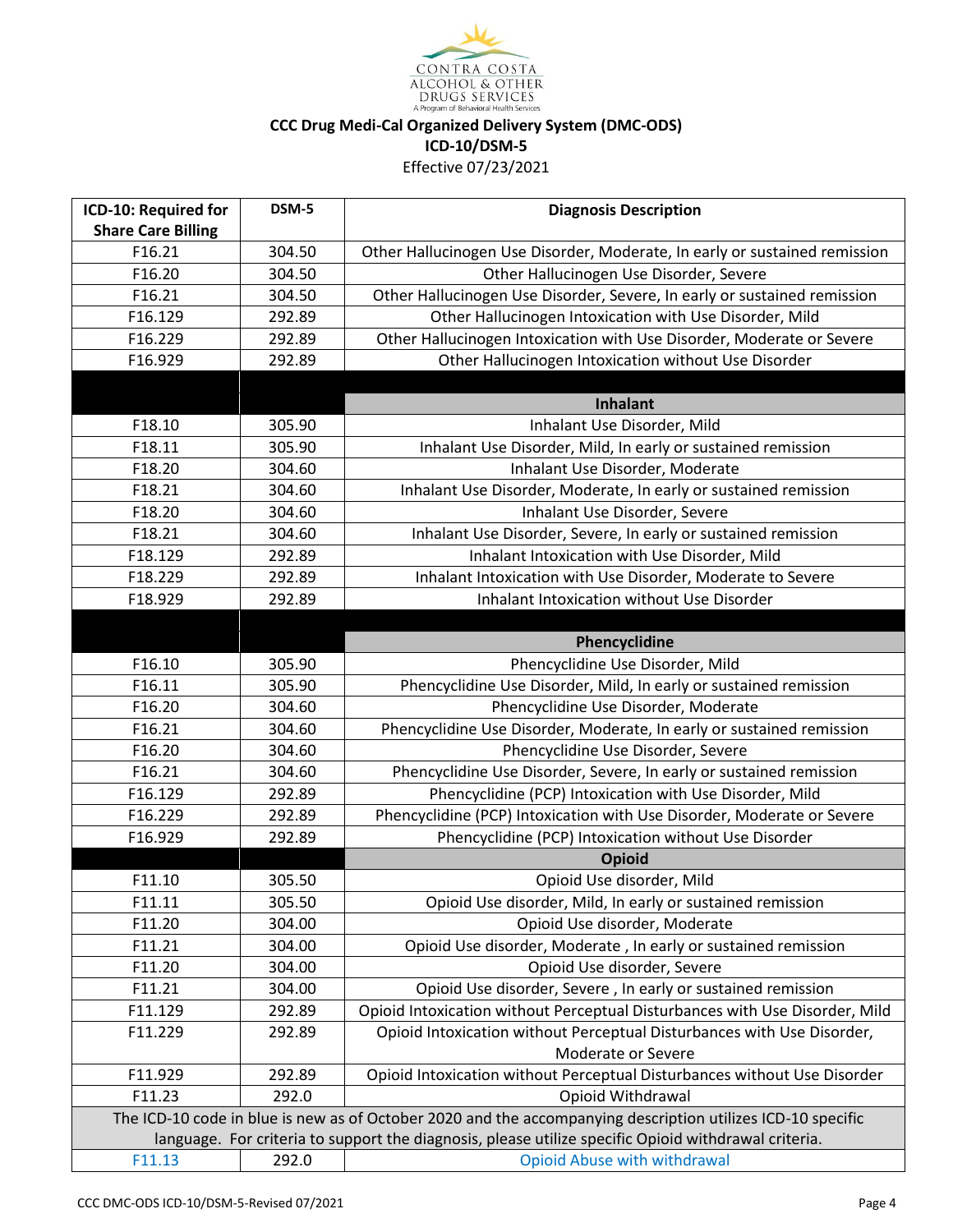

| ICD-10: Required for                                                                                        | DSM-5  | <b>Diagnosis Description</b>                                                                         |
|-------------------------------------------------------------------------------------------------------------|--------|------------------------------------------------------------------------------------------------------|
| <b>Share Care Billing</b>                                                                                   |        |                                                                                                      |
| F16.21                                                                                                      | 304.50 | Other Hallucinogen Use Disorder, Moderate, In early or sustained remission                           |
| F16.20                                                                                                      | 304.50 | Other Hallucinogen Use Disorder, Severe                                                              |
| F16.21                                                                                                      | 304.50 | Other Hallucinogen Use Disorder, Severe, In early or sustained remission                             |
| F16.129                                                                                                     | 292.89 | Other Hallucinogen Intoxication with Use Disorder, Mild                                              |
| F16.229                                                                                                     | 292.89 | Other Hallucinogen Intoxication with Use Disorder, Moderate or Severe                                |
| F16.929                                                                                                     | 292.89 | Other Hallucinogen Intoxication without Use Disorder                                                 |
|                                                                                                             |        |                                                                                                      |
|                                                                                                             |        | <b>Inhalant</b>                                                                                      |
| F18.10                                                                                                      | 305.90 | Inhalant Use Disorder, Mild                                                                          |
| F18.11                                                                                                      | 305.90 | Inhalant Use Disorder, Mild, In early or sustained remission                                         |
| F18.20                                                                                                      | 304.60 | Inhalant Use Disorder, Moderate                                                                      |
| F18.21                                                                                                      | 304.60 | Inhalant Use Disorder, Moderate, In early or sustained remission                                     |
| F18.20                                                                                                      | 304.60 | Inhalant Use Disorder, Severe                                                                        |
| F18.21                                                                                                      | 304.60 | Inhalant Use Disorder, Severe, In early or sustained remission                                       |
| F18.129                                                                                                     | 292.89 | Inhalant Intoxication with Use Disorder, Mild                                                        |
| F18.229                                                                                                     | 292.89 | Inhalant Intoxication with Use Disorder, Moderate to Severe                                          |
| F18.929                                                                                                     | 292.89 | Inhalant Intoxication without Use Disorder                                                           |
|                                                                                                             |        |                                                                                                      |
|                                                                                                             |        | Phencyclidine                                                                                        |
| F16.10                                                                                                      | 305.90 | Phencyclidine Use Disorder, Mild                                                                     |
| F16.11                                                                                                      | 305.90 | Phencyclidine Use Disorder, Mild, In early or sustained remission                                    |
| F16.20                                                                                                      | 304.60 | Phencyclidine Use Disorder, Moderate                                                                 |
| F16.21                                                                                                      | 304.60 | Phencyclidine Use Disorder, Moderate, In early or sustained remission                                |
| F16.20                                                                                                      | 304.60 | Phencyclidine Use Disorder, Severe                                                                   |
| F16.21                                                                                                      | 304.60 | Phencyclidine Use Disorder, Severe, In early or sustained remission                                  |
| F16.129                                                                                                     | 292.89 | Phencyclidine (PCP) Intoxication with Use Disorder, Mild                                             |
| F16.229                                                                                                     | 292.89 | Phencyclidine (PCP) Intoxication with Use Disorder, Moderate or Severe                               |
| F16.929                                                                                                     | 292.89 | Phencyclidine (PCP) Intoxication without Use Disorder                                                |
|                                                                                                             |        | Opioid                                                                                               |
| F11.10                                                                                                      | 305.50 | Opioid Use disorder, Mild                                                                            |
| F11.11                                                                                                      | 305.50 | Opioid Use disorder, Mild, In early or sustained remission                                           |
| F11.20                                                                                                      | 304.00 | Opioid Use disorder, Moderate                                                                        |
| F11.21                                                                                                      | 304.00 | Opioid Use disorder, Moderate, In early or sustained remission                                       |
| F11.20                                                                                                      | 304.00 | Opioid Use disorder, Severe                                                                          |
| F11.21                                                                                                      | 304.00 | Opioid Use disorder, Severe, In early or sustained remission                                         |
| F11.129                                                                                                     | 292.89 | Opioid Intoxication without Perceptual Disturbances with Use Disorder, Mild                          |
| F11.229                                                                                                     | 292.89 | Opioid Intoxication without Perceptual Disturbances with Use Disorder,                               |
|                                                                                                             |        | Moderate or Severe                                                                                   |
| F11.929                                                                                                     | 292.89 | Opioid Intoxication without Perceptual Disturbances without Use Disorder                             |
| F11.23                                                                                                      | 292.0  | Opioid Withdrawal                                                                                    |
| The ICD-10 code in blue is new as of October 2020 and the accompanying description utilizes ICD-10 specific |        |                                                                                                      |
|                                                                                                             |        | language. For criteria to support the diagnosis, please utilize specific Opioid withdrawal criteria. |
| F11.13                                                                                                      | 292.0  | <b>Opioid Abuse with withdrawal</b>                                                                  |